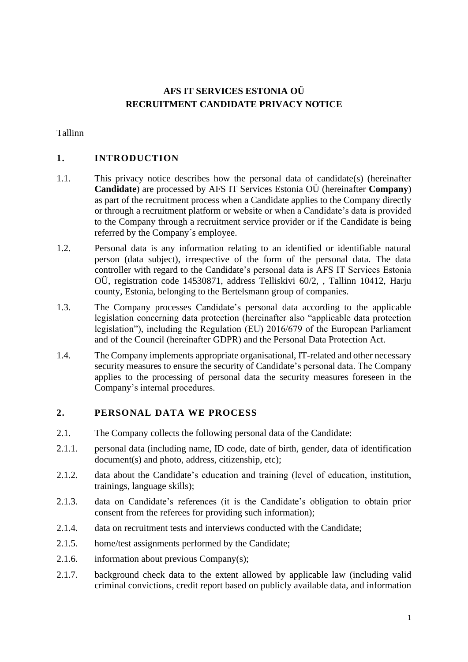# **AFS IT SERVICES ESTONIA OÜ RECRUITMENT CANDIDATE PRIVACY NOTICE**

Tallinn

## **1. INTRODUCTION**

- 1.1. This privacy notice describes how the personal data of candidate(s) (hereinafter **Candidate**) are processed by AFS IT Services Estonia OÜ (hereinafter **Company**) as part of the recruitment process when a Candidate applies to the Company directly or through a recruitment platform or website or when a Candidate's data is provided to the Company through a recruitment service provider or if the Candidate is being referred by the Company´s employee.
- 1.2. Personal data is any information relating to an identified or identifiable natural person (data subject), irrespective of the form of the personal data. The data controller with regard to the Candidate's personal data is AFS IT Services Estonia OÜ, registration code 14530871, address Telliskivi 60/2, , Tallinn 10412, Harju county, Estonia, belonging to the Bertelsmann group of companies.
- 1.3. The Company processes Candidate's personal data according to the applicable legislation concerning data protection (hereinafter also "applicable data protection legislation"), including the Regulation (EU) 2016/679 of the European Parliament and of the Council (hereinafter GDPR) and the Personal Data Protection Act.
- 1.4. The Company implements appropriate organisational, IT-related and other necessary security measures to ensure the security of Candidate's personal data. The Company applies to the processing of personal data the security measures foreseen in the Company's internal procedures.

#### **2. PERSONAL DATA WE PROCESS**

- 2.1. The Company collects the following personal data of the Candidate:
- 2.1.1. personal data (including name, ID code, date of birth, gender, data of identification document(s) and photo, address, citizenship, etc);
- 2.1.2. data about the Candidate's education and training (level of education, institution, trainings, language skills);
- 2.1.3. data on Candidate's references (it is the Candidate's obligation to obtain prior consent from the referees for providing such information);
- 2.1.4. data on recruitment tests and interviews conducted with the Candidate;
- 2.1.5. home/test assignments performed by the Candidate;
- 2.1.6. information about previous Company(s);
- 2.1.7. background check data to the extent allowed by applicable law (including valid criminal convictions, credit report based on publicly available data, and information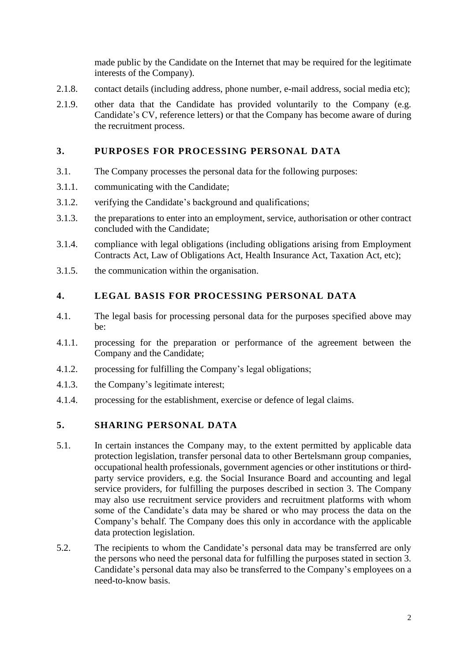made public by the Candidate on the Internet that may be required for the legitimate interests of the Company).

- 2.1.8. contact details (including address, phone number, e-mail address, social media etc);
- 2.1.9. other data that the Candidate has provided voluntarily to the Company (e.g. Candidate's CV, reference letters) or that the Company has become aware of during the recruitment process.

### **3. PURPOSES FOR PROCESSING PERSONAL DATA**

- 3.1. The Company processes the personal data for the following purposes:
- 3.1.1. communicating with the Candidate;
- 3.1.2. verifying the Candidate's background and qualifications;
- 3.1.3. the preparations to enter into an employment, service, authorisation or other contract concluded with the Candidate;
- 3.1.4. compliance with legal obligations (including obligations arising from Employment Contracts Act, Law of Obligations Act, Health Insurance Act, Taxation Act, etc);
- 3.1.5. the communication within the organisation.

#### **4. LEGAL BASIS FOR PROCESSING PERSONAL DATA**

- 4.1. The legal basis for processing personal data for the purposes specified above may be:
- 4.1.1. processing for the preparation or performance of the agreement between the Company and the Candidate;
- 4.1.2. processing for fulfilling the Company's legal obligations;
- 4.1.3. the Company's legitimate interest;
- 4.1.4. processing for the establishment, exercise or defence of legal claims.

#### **5. SHARING PERSONAL DATA**

- 5.1. In certain instances the Company may, to the extent permitted by applicable data protection legislation, transfer personal data to other Bertelsmann group companies, occupational health professionals, government agencies or other institutions or thirdparty service providers, e.g. the Social Insurance Board and accounting and legal service providers, for fulfilling the purposes described in section 3. The Company may also use recruitment service providers and recruitment platforms with whom some of the Candidate's data may be shared or who may process the data on the Company's behalf. The Company does this only in accordance with the applicable data protection legislation.
- 5.2. The recipients to whom the Candidate's personal data may be transferred are only the persons who need the personal data for fulfilling the purposes stated in section 3. Candidate's personal data may also be transferred to the Company's employees on a need-to-know basis.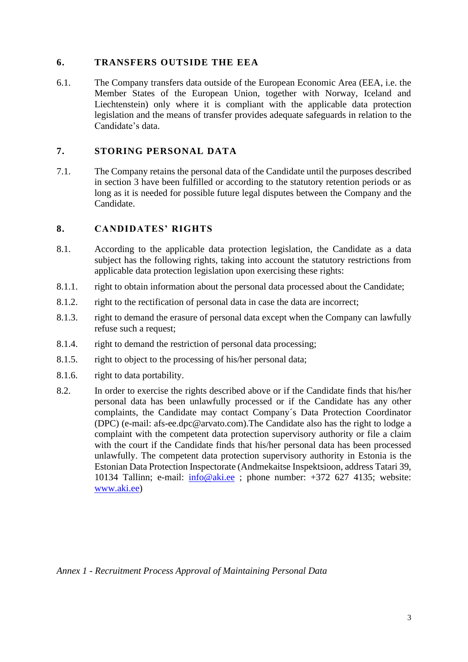#### **6. TRANSFERS OUTSIDE THE EEA**

6.1. The Company transfers data outside of the European Economic Area (EEA, i.e. the Member States of the European Union, together with Norway, Iceland and Liechtenstein) only where it is compliant with the applicable data protection legislation and the means of transfer provides adequate safeguards in relation to the Candidate's data.

### **7. STORING PERSONAL DATA**

7.1. The Company retains the personal data of the Candidate until the purposes described in section 3 have been fulfilled or according to the statutory retention periods or as long as it is needed for possible future legal disputes between the Company and the Candidate.

#### **8. CANDIDATES' RIGHTS**

- 8.1. According to the applicable data protection legislation, the Candidate as a data subject has the following rights, taking into account the statutory restrictions from applicable data protection legislation upon exercising these rights:
- 8.1.1. right to obtain information about the personal data processed about the Candidate;
- 8.1.2. right to the rectification of personal data in case the data are incorrect;
- 8.1.3. right to demand the erasure of personal data except when the Company can lawfully refuse such a request;
- 8.1.4. right to demand the restriction of personal data processing;
- 8.1.5. right to object to the processing of his/her personal data;
- 8.1.6. right to data portability.
- 8.2. In order to exercise the rights described above or if the Candidate finds that his/her personal data has been unlawfully processed or if the Candidate has any other complaints, the Candidate may contact Company´s Data Protection Coordinator (DPC) (e-mail: afs-ee.dpc@arvato.com).The Candidate also has the right to lodge a complaint with the competent data protection supervisory authority or file a claim with the court if the Candidate finds that his/her personal data has been processed unlawfully. The competent data protection supervisory authority in Estonia is the Estonian Data Protection Inspectorate (Andmekaitse Inspektsioon, address Tatari 39, 10134 Tallinn; e-mail: [info@aki.ee](mailto:info@aki.ee) ; phone number: +372 627 4135; website: [www.aki.ee\)](http://www.aki.ee/)

*Annex 1 - Recruitment Process Approval of Maintaining Personal Data*